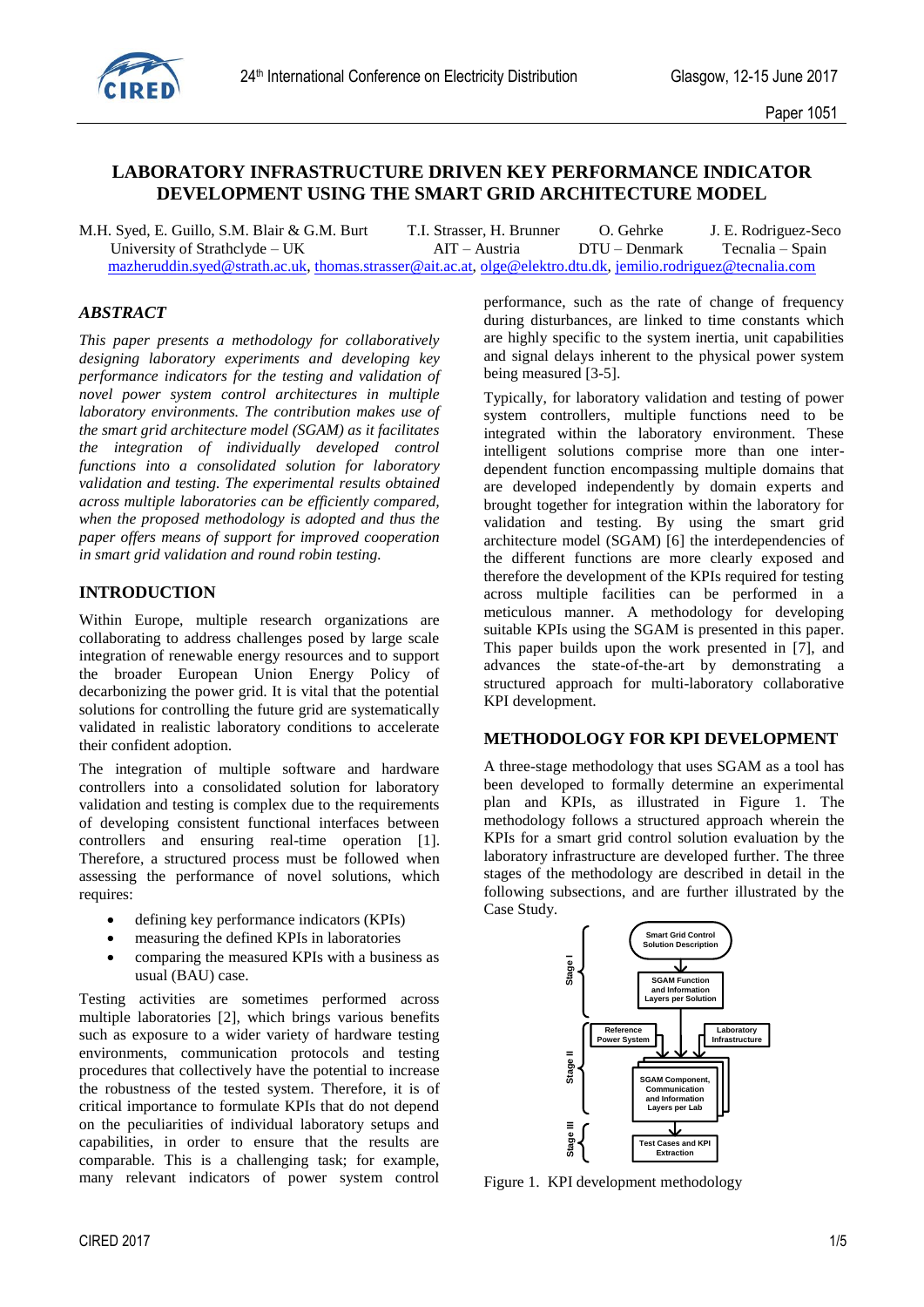

# **LABORATORY INFRASTRUCTURE DRIVEN KEY PERFORMANCE INDICATOR DEVELOPMENT USING THE SMART GRID ARCHITECTURE MODEL**

M.H. Syed, E. Guillo, S.M. Blair & G.M. Burt T.I. Strasser, H. Brunner O. Gehrke J. E. Rodriguez-Seco University of Strathclyde – UK AIT – Austria DTU – Denmark Tecnalia – Spain [mazheruddin.syed@strath.ac.uk,](mailto:mazheruddin.syed@strath.ac.uk) [thomas.strasser@ait.ac.at,](mailto:thomas.strasser@ait.ac.at) [olge@elektro.dtu.dk,](mailto:olge@elektro.dtu.dk) [jemilio.rodriguez@tecnalia.com](mailto:jemilio.rodriguez@tecnalia.com) 

## *ABSTRACT*

*This paper presents a methodology for collaboratively designing laboratory experiments and developing key performance indicators for the testing and validation of novel power system control architectures in multiple laboratory environments. The contribution makes use of the smart grid architecture model (SGAM) as it facilitates the integration of individually developed control functions into a consolidated solution for laboratory validation and testing. The experimental results obtained across multiple laboratories can be efficiently compared, when the proposed methodology is adopted and thus the paper offers means of support for improved cooperation in smart grid validation and round robin testing.* 

## **INTRODUCTION**

Within Europe, multiple research organizations are collaborating to address challenges posed by large scale integration of renewable energy resources and to support the broader European Union Energy Policy of decarbonizing the power grid. It is vital that the potential solutions for controlling the future grid are systematically validated in realistic laboratory conditions to accelerate their confident adoption.

The integration of multiple software and hardware controllers into a consolidated solution for laboratory validation and testing is complex due to the requirements of developing consistent functional interfaces between controllers and ensuring real-time operation [1]. Therefore, a structured process must be followed when assessing the performance of novel solutions, which requires:

- defining key performance indicators (KPIs)
- measuring the defined KPIs in laboratories
- comparing the measured KPIs with a business as usual (BAU) case.

Testing activities are sometimes performed across multiple laboratories [2], which brings various benefits such as exposure to a wider variety of hardware testing environments, communication protocols and testing procedures that collectively have the potential to increase the robustness of the tested system. Therefore, it is of critical importance to formulate KPIs that do not depend on the peculiarities of individual laboratory setups and capabilities, in order to ensure that the results are comparable. This is a challenging task; for example, many relevant indicators of power system control performance, such as the rate of change of frequency during disturbances, are linked to time constants which are highly specific to the system inertia, unit capabilities and signal delays inherent to the physical power system being measured [3-5].

Typically, for laboratory validation and testing of power system controllers, multiple functions need to be integrated within the laboratory environment. These intelligent solutions comprise more than one interdependent function encompassing multiple domains that are developed independently by domain experts and brought together for integration within the laboratory for validation and testing. By using the smart grid architecture model (SGAM) [6] the interdependencies of the different functions are more clearly exposed and therefore the development of the KPIs required for testing across multiple facilities can be performed in a meticulous manner. A methodology for developing suitable KPIs using the SGAM is presented in this paper. This paper builds upon the work presented in [7], and advances the state-of-the-art by demonstrating a structured approach for multi-laboratory collaborative KPI development.

### **METHODOLOGY FOR KPI DEVELOPMENT**

A three-stage methodology that uses SGAM as a tool has been developed to formally determine an experimental plan and KPIs, as illustrated in Figure 1. The methodology follows a structured approach wherein the KPIs for a smart grid control solution evaluation by the laboratory infrastructure are developed further. The three stages of the methodology are described in detail in the following subsections, and are further illustrated by the Case Study.



Figure 1. KPI development methodology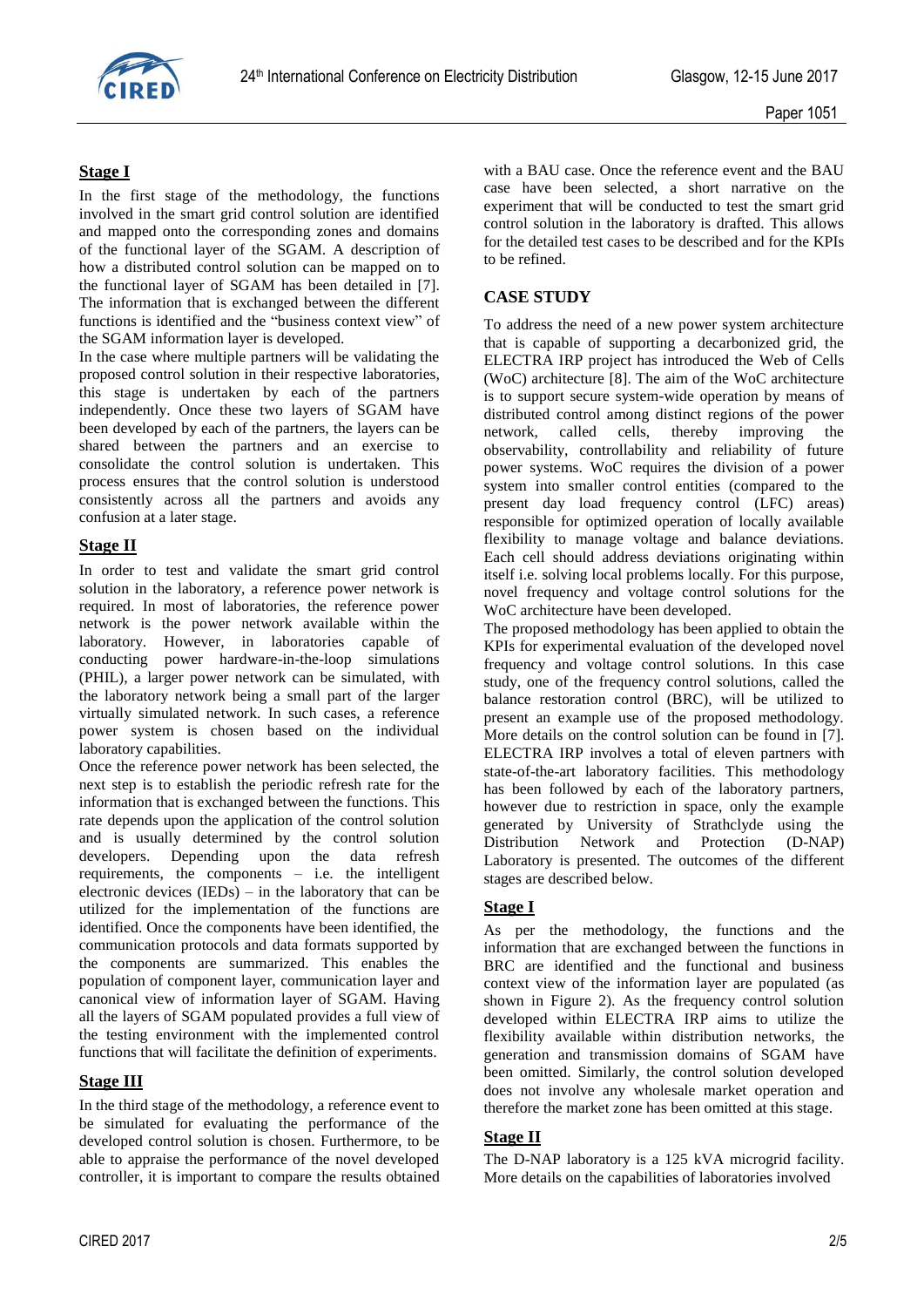

## **Stage I**

In the first stage of the methodology, the functions involved in the smart grid control solution are identified and mapped onto the corresponding zones and domains of the functional layer of the SGAM. A description of how a distributed control solution can be mapped on to the functional layer of SGAM has been detailed in [7]. The information that is exchanged between the different functions is identified and the "business context view" of the SGAM information layer is developed.

In the case where multiple partners will be validating the proposed control solution in their respective laboratories, this stage is undertaken by each of the partners independently. Once these two layers of SGAM have been developed by each of the partners, the layers can be shared between the partners and an exercise to consolidate the control solution is undertaken. This process ensures that the control solution is understood consistently across all the partners and avoids any confusion at a later stage.

## **Stage II**

In order to test and validate the smart grid control solution in the laboratory, a reference power network is required. In most of laboratories, the reference power network is the power network available within the laboratory. However, in laboratories capable of conducting power hardware-in-the-loop simulations (PHIL), a larger power network can be simulated, with the laboratory network being a small part of the larger virtually simulated network. In such cases, a reference power system is chosen based on the individual laboratory capabilities.

Once the reference power network has been selected, the next step is to establish the periodic refresh rate for the information that is exchanged between the functions. This rate depends upon the application of the control solution and is usually determined by the control solution developers. Depending upon the data refresh requirements, the components – i.e. the intelligent electronic devices  $(IEDs)$  – in the laboratory that can be utilized for the implementation of the functions are identified. Once the components have been identified, the communication protocols and data formats supported by the components are summarized. This enables the population of component layer, communication layer and canonical view of information layer of SGAM. Having all the layers of SGAM populated provides a full view of the testing environment with the implemented control functions that will facilitate the definition of experiments.

# **Stage III**

In the third stage of the methodology, a reference event to be simulated for evaluating the performance of the developed control solution is chosen. Furthermore, to be able to appraise the performance of the novel developed controller, it is important to compare the results obtained

with a BAU case. Once the reference event and the BAU case have been selected, a short narrative on the experiment that will be conducted to test the smart grid control solution in the laboratory is drafted. This allows for the detailed test cases to be described and for the KPIs to be refined.

# **CASE STUDY**

To address the need of a new power system architecture that is capable of supporting a decarbonized grid, the ELECTRA IRP project has introduced the Web of Cells (WoC) architecture [8]. The aim of the WoC architecture is to support secure system-wide operation by means of distributed control among distinct regions of the power network, called cells, thereby improving the observability, controllability and reliability of future power systems. WoC requires the division of a power system into smaller control entities (compared to the present day load frequency control (LFC) areas) responsible for optimized operation of locally available flexibility to manage voltage and balance deviations. Each cell should address deviations originating within itself i.e. solving local problems locally. For this purpose, novel frequency and voltage control solutions for the WoC architecture have been developed.

The proposed methodology has been applied to obtain the KPIs for experimental evaluation of the developed novel frequency and voltage control solutions. In this case study, one of the frequency control solutions, called the balance restoration control (BRC), will be utilized to present an example use of the proposed methodology. More details on the control solution can be found in [7]. ELECTRA IRP involves a total of eleven partners with state-of-the-art laboratory facilities. This methodology has been followed by each of the laboratory partners, however due to restriction in space, only the example generated by University of Strathclyde using the Distribution Network and Protection (D-NAP) Laboratory is presented. The outcomes of the different stages are described below.

# **Stage I**

As per the methodology, the functions and the information that are exchanged between the functions in BRC are identified and the functional and business context view of the information layer are populated (as shown in Figure 2). As the frequency control solution developed within ELECTRA IRP aims to utilize the flexibility available within distribution networks, the generation and transmission domains of SGAM have been omitted. Similarly, the control solution developed does not involve any wholesale market operation and therefore the market zone has been omitted at this stage.

# **Stage II**

The D-NAP laboratory is a 125 kVA microgrid facility. More details on the capabilities of laboratories involved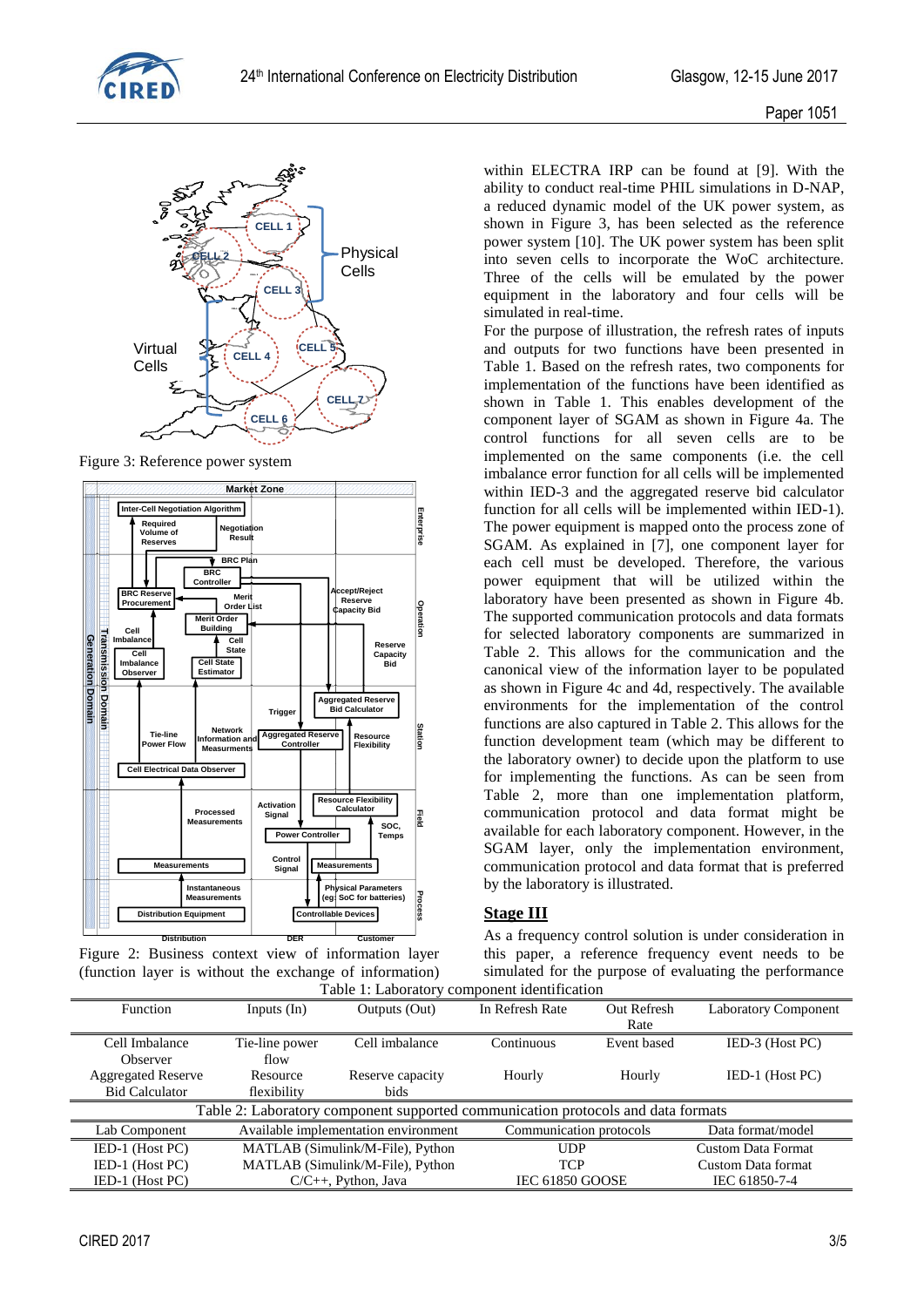



Figure 3: Reference power system



Figure 2: Business context view of information layer (function layer is without the exchange of information)

within ELECTRA IRP can be found at [9]. With the ability to conduct real-time PHIL simulations in D-NAP, a reduced dynamic model of the UK power system, as shown in Figure 3, has been selected as the reference power system [10]. The UK power system has been split into seven cells to incorporate the WoC architecture. Three of the cells will be emulated by the power equipment in the laboratory and four cells will be simulated in real-time.

For the purpose of illustration, the refresh rates of inputs and outputs for two functions have been presented in Table 1. Based on the refresh rates, two components for implementation of the functions have been identified as shown in Table 1. This enables development of the component layer of SGAM as shown in Figure 4a. The control functions for all seven cells are to be implemented on the same components (i.e. the cell imbalance error function for all cells will be implemented within IED-3 and the aggregated reserve bid calculator function for all cells will be implemented within IED-1). The power equipment is mapped onto the process zone of SGAM. As explained in [7], one component layer for each cell must be developed. Therefore, the various power equipment that will be utilized within the laboratory have been presented as shown in Figure 4b. The supported communication protocols and data formats for selected laboratory components are summarized in Table 2. This allows for the communication and the canonical view of the information layer to be populated as shown in Figure 4c and 4d, respectively. The available environments for the implementation of the control functions are also captured in Table 2. This allows for the function development team (which may be different to the laboratory owner) to decide upon the platform to use for implementing the functions. As can be seen from Table 2, more than one implementation platform, communication protocol and data format might be available for each laboratory component. However, in the SGAM layer, only the implementation environment, communication protocol and data format that is preferred by the laboratory is illustrated.

### **Stage III**

As a frequency control solution is under consideration in this paper, a reference frequency event needs to be simulated for the purpose of evaluating the performance Table 1: Laboratory component identification

| Function                                                                         | Inputs $(In)$                        | Outputs (Out)    | In Refresh Rate         | <b>Out Refresh</b> | Laboratory Component      |
|----------------------------------------------------------------------------------|--------------------------------------|------------------|-------------------------|--------------------|---------------------------|
|                                                                                  |                                      |                  |                         | Rate               |                           |
| Cell Imbalance                                                                   | Tie-line power                       | Cell imbalance   | Continuous              | Event based        | IED-3 (Host PC)           |
| Observer                                                                         | flow                                 |                  |                         |                    |                           |
| <b>Aggregated Reserve</b>                                                        | Resource                             | Reserve capacity | Hourly                  | Hourly             | IED-1 (Host PC)           |
| <b>Bid Calculator</b>                                                            | flexibility                          | bids             |                         |                    |                           |
| Table 2: Laboratory component supported communication protocols and data formats |                                      |                  |                         |                    |                           |
| Lab Component                                                                    | Available implementation environment |                  | Communication protocols |                    | Data format/model         |
| IED-1 (Host PC)                                                                  | MATLAB (Simulink/M-File), Python     |                  | <b>UDP</b>              |                    | <b>Custom Data Format</b> |
| IED-1 (Host PC)                                                                  | MATLAB (Simulink/M-File), Python     |                  | <b>TCP</b>              |                    | Custom Data format        |
| IED-1 (Host PC)                                                                  | $C/C++$ , Python, Java               |                  | IEC 61850 GOOSE         |                    | IEC 61850-7-4             |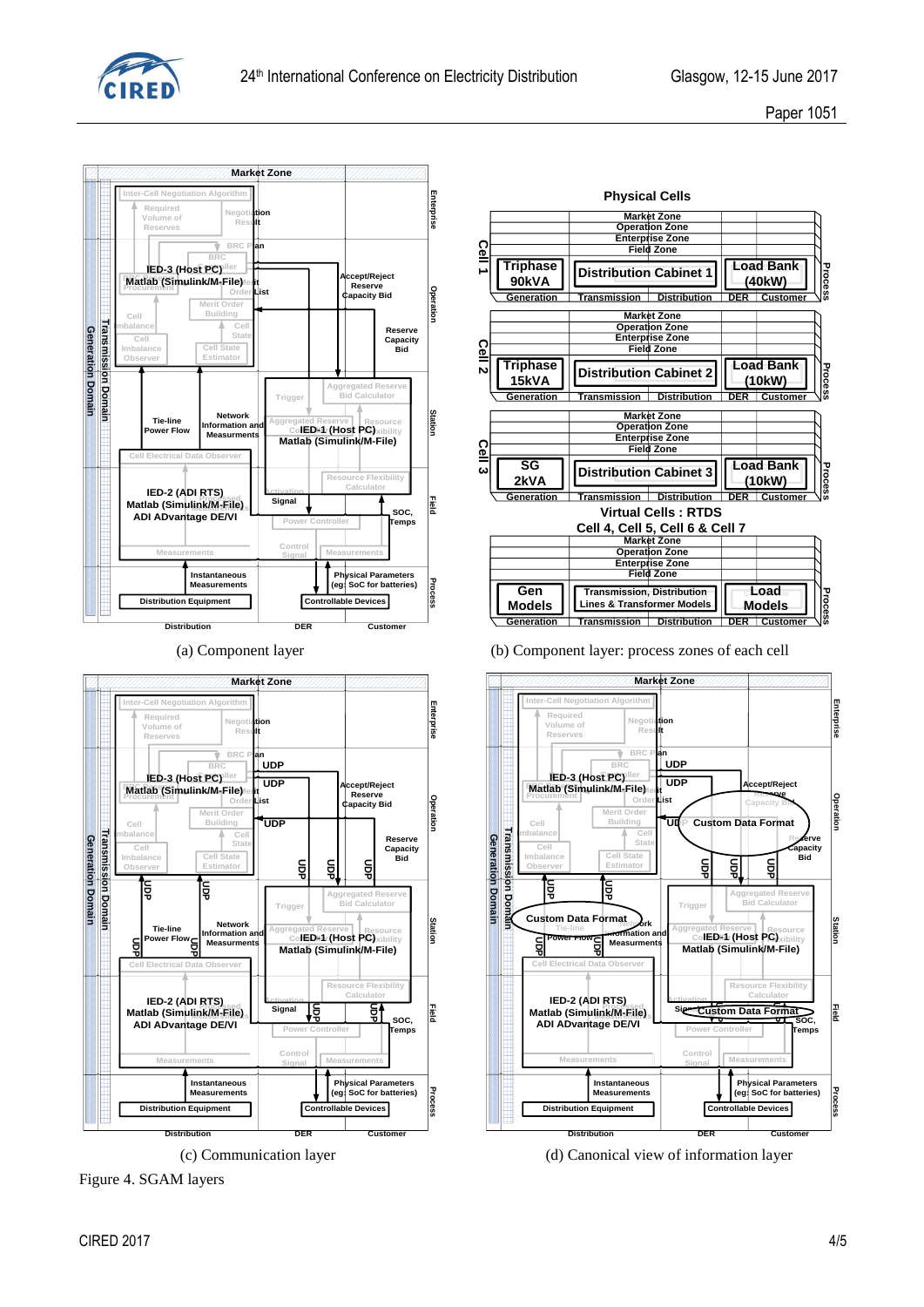

Paper 1051





Figure 4. SGAM layers



(a) Component layer (b) Component layer: process zones of each cell



(c) Communication layer (d) Canonical view of information layer